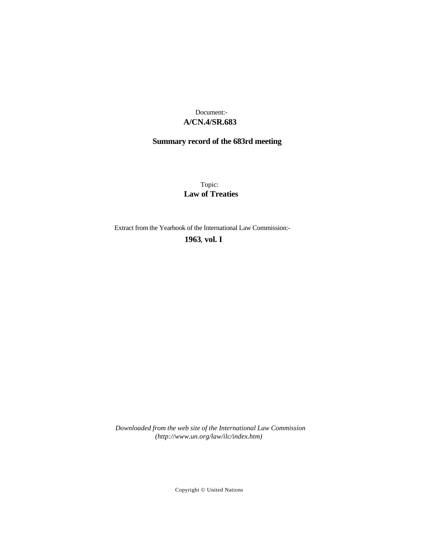## **A/CN.4/SR.683** Document:-

# **Summary record of the 683rd meeting**

Topic: **Law of Treaties**

Extract from the Yearbook of the International Law Commission:-

**1963** , **vol. I**

*Downloaded from the web site of the International Law Commission (http://www.un.org/law/ilc/index.htm)*

Copyright © United Nations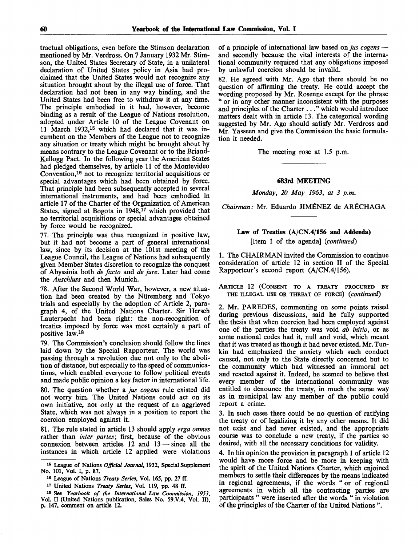tractual obligations, even before the Stimson declaration mentioned by Mr. Verdross. On 7 January 1932 Mr. Stimson, the United States Secretary of State, in a unilateral declaration of United States policy in Asia had proclaimed that the United States would not recognize any situation brought about by the illegal use of force. That declaration had not been in any way binding, and the United States had been free to withdraw it at any time. The principle embodied in it had, however, become binding as a result of the League of Nations resolution, adopted under Article 10 of the League Covenant on 11 March 1932,<sup>15</sup> which had declared that it was incumbent on the Members of the League not to recognize any situation or treaty which might be brought about by means contrary to the League Covenant or to the Briand-Kellogg Pact. In the following year the American States had pledged themselves, by article 11 of the Montevideo Convention,<sup>16</sup> not to recognize territorial acquisitions or special advantages which had been obtained by force. That principle had been subsequently accepted in several international instruments, and had been embodied in article 17 of the Charter of the Organization of American States, signed at Bogota in 1948,<sup>17</sup> which provided that no territorial acquisitions or special advantages obtained by force would be recognized.

77. The principle was thus recognized in positive law, but it had not become a part of general international law, since by its decision at the 101st meeting of the League Council, the League of Nations had subsequently given Member States discretion to recognize the conquest of Abyssinia both *de facto* and *de jure.* Later had come the *Anschluss* and then Munich.

78. After the Second World War, however, a new situation had been created by the Nuremberg and Tokyo trials and especially by the adoption of Article 2, paragraph 4, of the United Nations Charter. Sir Hersch Lauterpacht had been right: the non-recognition of treaties imposed by force was most certainly a part of positive law.<sup>18</sup>

79. The Commission's conclusion should follow the lines laid down by the Special Rapporteur. The world was passing through a revolution due not only to the abolition of distance, but especially to the speed of communications, which enabled everyone to follow political events and made public opinion a key factor in international life.

80. The question whether a *jus cogens* rule existed did not worry him. The United Nations could act on its own initiative, not only at the request of an aggrieved State, which was not always in a position to report the coercion employed against it.

81. The rule stated in article 13 should apply *erga omnes* rather than *inter partes;* first, because of the obvious connexion between articles 12 and 13 — since all the instances in which article 12 applied were violations

18 See *Yearbook of the International Law Commission, 1953,* Vol. II (United Nations publication, Sales No. 59.V.4, Vol. II), p. 147, comment on article 12.

of a principle of international law based on *jus cogens* and secondly because the vital interests of the international community required that any obligations imposed by unlawful coercion should be invalid.

82. He agreed with Mr. Ago that there should be no question of affirming the treaty. He could accept the wording proposed by Mr. Rosenne except for the phrase " or in any other manner inconsistent with the purposes and principles of the Charter ... " which would introduce matters dealt with in article 13. The categorical wording suggested by Mr. Ago should satisfy Mr. Verdross and Mr. Yasseen and give the Commission the basic formulation it needed.

The meeting rose at 1.5 p.m.

#### **683rd MEETING**

*Monday, 20 May 1963, at 3 p.m.*

*Chairman:* Mr. Eduardo JIMENEZ de ARECHAGA

## **Law** of Treaties (A/CN.4/156 **and** Addenda) [Item 1 of the agenda] *{continued)*

1. The CHAIRMAN invited the Commission to continue consideration of article 12 in section II of the Special Rapporteur's second report (A/CN.4/156).

ARTICLE 12 (CONSENT TO A TREATY PROCURED BY THE ILLEGAL USE OR THREAT OF FORCE) *{continued)*

2. Mr. PAREDES, commenting on some points raised during previous discussions, said he fully supported the thesis that when coercion had been employed against one of the parties the treaty was void *ab initio,* or as some national codes had it, null and void, which meant that it was treated as though it had never existed. Mr. Tunkin had emphasized the anxiety which such conduct caused, not only to the State directly concerned but to the community which had witnessed an immoral act and reacted against it. Indeed, he seemed to believe that every member of the international community was entitled to denounce the treaty, in much the same way as in municipal law any member of the public could report a crime.

3. In such cases there could be no question of ratifying the treaty or of legalizing it by any other means. It did not exist and had never existed, and the appropriate course was to conclude a new treaty, if the parties so desired, with all the necessary conditions for validity.

4. In his opinion the provision in paragraph 1 of article 12 would have more force and be more in keeping with the spirit of the United Nations Charter, which enjoined members to settle their differences by the means indicated in regional agreements, if the words " or of regional agreements in which all the contracting parties are participants " were inserted after the words " in violation of the principles of the Charter of the United Nations ".

<sup>15</sup> League of Nations *Official Journal,* 1932, Special Supplement No. 101, Vol. I, p. 87.

<sup>19</sup> League of Nations *Treaty Series,* Vol. 165, pp. 27 ff.

<sup>17</sup> United Nations *Treaty Series,* Vol. 119, pp. 48 ff.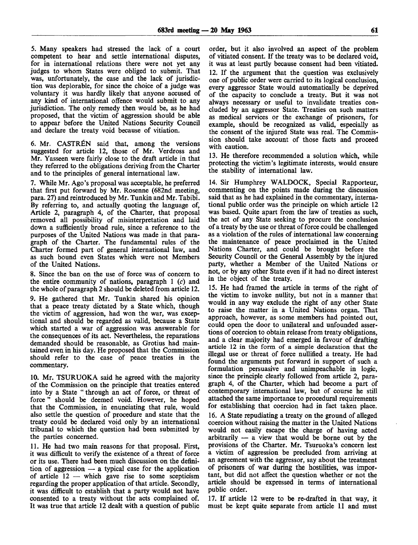5. Many speakers had stressed the lack of a court competent to hear and settle international disputes, for in international relations there were not yet any judges to whom States were obliged to submit. That was, unfortunately, the case and the lack of jurisdiction was deplorable, for since the choice of a judge was voluntary it was hardly likely that anyone accused of any kind of international offence would submit to any jurisdiction. The only remedy then would be, as he had proposed, that the victim of aggression should be able to appear before the United Nations Security Council and declare the treaty void because of vitiation.

6. Mr. CASTRÉN said that, among the versions suggested for article 12, those of Mr. Verdross and Mr. Yasseen were fairly close to the draft article in that they referred to the obligations deriving from the Charter and to the principles of general international law.

7. While Mr. Ago's proposal was acceptable, he preferred that first put forward by Mr. Rosenne (682nd meeting, para. 27) and reintroduced by Mr. Tunkin and Mr. Tabibi. By referring to, and actually quoting the language of, Article 2, paragraph 4, of the Charter, that proposal removed all possibility of misinterpretation and laid down a sufficiently broad rule, since a reference to the purposes of the United Nations was made in that paragraph of the Charter. The fundamental rules of the Charter formed part of general international law, and as such bound even States which were not Members of the United Nations.

8. Since the ban on the use of force was of concern to the entire community of nations, paragraph  $1$  (c) and the whole of paragraph 2 should be deleted from article 12.

9. He gathered that Mr. Tunkin shared his opinion that a peace treaty dictated by a State which, though the victim of aggression, had won the war, was exceptional and should be regarded as valid, because a State which started a war of aggression was answerable for the consequences of its act. Nevertheless, the reparations demanded should be reasonable, as Grotius had maintained even in his day. He proposed that the Commission should refer to the case of peace treaties in the commentary.

10. Mr. TSURUOKA said he agreed with the majority of the Commission on the principle that treaties entered into by a State " through an act of force, or threat of force" should be deemed void. However, he hoped that the Commission, in enunciating that rule, would also settle the question of procedure and state that the treaty could be declared void only by an international tribunal to which the question had been submitted by the parties concerned.

11. He had two main reasons for that proposal. First, it was difficult to verify the existence of a threat of force or its use. There had been much discussion on the definition of aggression  $\overline{a}$  a typical case for the application of article 12 — which gave rise to some scepticism regarding the proper application of that article. Secondly, it was difficult to establish that a party would not have consented to a treaty without the acts complained of. It was true that article 12 dealt with a question of public

order, but it also involved an aspect of the problem of vitiated consent. If the treaty was to be declared void, it was at least partly because consent had been vitiated. 12. If the argument that the question was exclusively one of public order were carried to its logical conclusion, every aggressor State would automatically be deprived of the capacity to conclude a treaty. But it was not always necessary or useful to invalidate treaties concluded by an aggressor State. Treaties on such matters as medical services or the exchange of prisoners, for example, should be recognized as valid, especially as the consent of the injured State was real. The Commission should take account of those facts and proceed with caution.

13. He therefore recommended a solution which, while protecting the victim's legitimate interests, would ensure the stability of international law.

14. Sir Humphrey WALDOCK, Special Rapporteur, commenting on the points made during the discussion said that as he had explained in the commentary, international public order was the principle on which article 12 was based. Quite apart from the law of treaties as such, the act of any State seeking to procure the conclusion of a treaty by the use or threat of force could be challenged as a violation of the rules of international law concerning the maintenance of peace proclaimed in the United Nations Charter, and could be brought before the Security Council or the General Assembly by the injured party, whether a Member of the United Nations or not, or by any other State even if it had no direct interest in the object of the treaty.

15. He had framed the article in terms of the right of the victim to invoke nullity, but not in a manner that would in any way exclude the right of any other State to raise the matter in a United Nations organ. That approach, however, as some members had pointed out, could open the door to unilateral and unfounded assertions of coercion to obtain release from treaty obligations, and a clear majority had emerged in favour of drafting article 12 in the form of a simple declaration that the illegal use or threat of force nullified a treaty. He had found the arguments put forward in support of such a formulation persuasive and unimpeachable in logic, since the principle clearly followed from article 2, paragraph 4, of the Charter, which had become a part of contemporary international law, but of course he still attached the same importance to procedural requirements for establishing that coercion had in fact taken place.

16. A State repudiating a treaty on the ground of alleged coercion without raising the matter in the United Nations would not easily escape the charge of having acted arbitrarily — a view that would be borne out by the provisions of the Charter. Mr. Tsuruoka's concern lest a victim of aggression be precluded from arriving at an agreement with the aggressor, say about the treatment of prisoners of war during the hostilities, was important, but did not affect the question whether or not the article should be expressed in terms of international public order.

17. If article 12 were to be re-drafted in that way, it must be kept quite separate from article 11 and must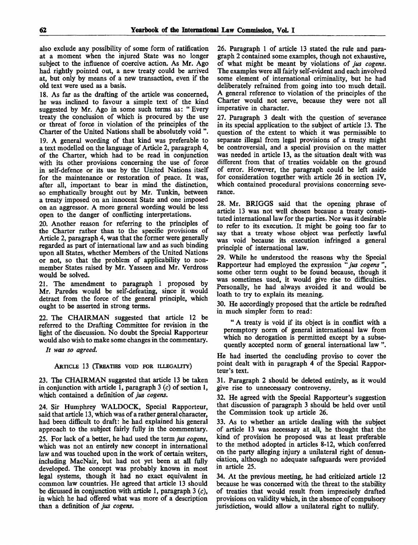also exclude any possibility of some form of ratification at a moment when the injured State was no longer subject to the influence of coercive action. As Mr. Ago had rightly pointed out, a new treaty could be arrived at, but only by means of a new transaction, even if the old text were used as a basis.

18. As far as the drafting of the article was concerned, he was inclined to favour a simple text of the kind suggested by Mr. Ago in some such terms as: "Every treaty the conclusion of which is procured by the use or threat of force in violation of the principles of the Charter of the United Nations shall be absolutely void ". 19. A general wording of that kind was preferable to a text modelled on the language of Article 2, paragraph 4, of the Charter, which had to be read in conjunction with its other provisions concerning the use of force in self-defence or its use by the United Nations itself

for the maintenance or restoration of peace. It was, after all, important to bear in mind the distinction, so emphatically brought out by Mr. Tunkin, between a treaty imposed on an innocent State and one imposed on an aggressor. A more general wording would be less open to the danger of conflicting interpretations.

20. Another reason for referring to the principles of the Charter rather than to the specific provisions of Article 2, paragraph 4, was that the former were generally regarded as part of international law and as such binding upon all States, whether Members of the United Nations or not, so that the problem of applicability to nonmember States raised by Mr. Yasseen and Mr. Verdross would be solved.

21. The amendment to paragraph 1 proposed by Mr. Paredes would be self-defeating, since it would detract from the force of the general principle, which ought to be asserted in strong terms.

22. The CHAIRMAN suggested that article 12 be referred to the Drafting Committee for revision in the light of the discussion. No doubt the Special Rapporteur would also wish to make some changes in the commentary.

*It was so agreed.*

### ARTICLE 13 (TREATIES VOID FOR ILLEGALITY)

23. The CHAIRMAN suggested that article 13 be taken in conjunction with article 1, paragraph 3 *(c)* of section 1, which contained a definition of *jus cogens.*

24. Sir Humphrey WALDOCK, Special Rapporteur, said that article 13, which was of a rather general character, had been difficult to draft: he had explained his general approach to the subject fairly fully in the commentary. 25. For lack of a better, he had used the term *jus cogens,* which was not an entirely new concept in international law and was touched upon in the work of certain writers, including MacNair, but had not yet been at all fully developed. The concept was probably known in most legal systems, though it had no exact equivalent in common law countries. He agreed that article 13 should be dicussed in conjunction with article 1, paragraph 3  $(c)$ , in which he had offered what was more of a description than a definition of *jus cogens.*

26. Paragraph 1 of article 13 stated the rule and paragraph 2 contained some examples, though not exhaustive, of what might be meant by violations of *jus cogens.* The examples were all fairly self-evident and each involved some element of international criminality, but he had deliberately refrained from going into too much detail. A general reference to violation of the principles of the Charter would not serve, because they were not all imperative in character.

27. Paragraph 3 dealt with the question of severance in its special application to the subject of article 13. The question of the extent to which it was permissible to separate illegal from legal provisions of a treaty might be controversial, and a special provision on the matter was needed in article 13, as the situation dealt with was different from that of treaties voidable on the ground of error. However, the paragraph could be left aside for consideration together with article 26 in section IV, which contained procedural provisions concerning severance.

28. Mr. BRIGGS said that the opening phrase of article 13 was not well chosen because a treaty constituted international law for the parties. Nor was it desirable to refer to its execution. It might be going too far to say that a treaty whose object was perfectly lawful was void because its execution infringed a general principle of international law.

29. While he understood the reasons why the Special Rapporteur had employed the expression *"jus cogens* ", some other term ought to be found because, though it was sometimes used, it would give rise to difficulties. Personally, he had always avoided it and would be loath to try to explain its meaning.

30. He accordingly proposed that the article be redrafted in much simpler form to read:

" A treaty is void if its object is in conflict with a peremptory norm of general international law from which no derogation is permitted except by a subsequently accepted norm of general international law ".

He had inserted the concluding proviso to cover the point dealt with in paragraph 4 of the Special Rapporteur's text.

31. Paragraph 2 should be deleted entirely, as it would give rise to unnecessary controversy.

32. He agreed with the Special Rapporteur's suggestion that discussion of paragraph 3 should be held over until the Commission took up article 26.

33. As to whether an article dealing with the subject of article 13 was necessary at all, he thought that the kind of provision he proposed was at least preferable to the method adopted in articles 8-12, which conferred on the party alleging injury a unilateral right of denunciation, although no adequate safeguards were provided in article 25.

34. At the previous meeting, he had criticized article 12 because he was concerned with the threat to the stability of treaties that would result from imprecisely drafted provisions on validity which, in the absence of compulsory jurisdiction, would allow a unilateral right to nullify.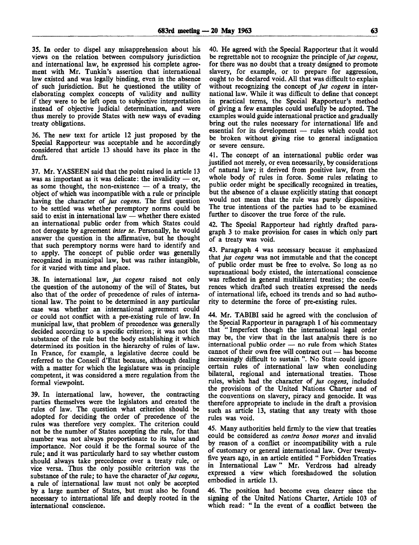35. In order to dispel any misapprehension about his views on the relation between compulsory jurisdiction and international law, he expressed his complete agreement with Mr. Tunkin's assertion that international law existed and was legally binding, even in the absence of such jurisdiction. But he questioned the utility of elaborating complex concepts of validity and nullity if they were to be left open to subjective interpretation instead of objective judicial determination, and were thus merely to provide States with new ways of evading treaty obligations.

36. The new text for article 12 just proposed by the Special Rapporteur was acceptable and he accordingly considered that article 13 should have its place in the draft.

37. Mr. YASSEEN said that the point raised in article 13 was as important as it was delicate: the invalidity  $-$  or, as some thought, the non-existence — of a treaty, the object of which was incompatible with a rule or principle having the character of *jus cogens.* The first question to be settled was whether peremptory norms could be said to exist in international law — whether there existed an international public order from which States could not derogate by agreement *inter se.* Personally, he would answer the question in the affirmative, but he thought that such peremptory norms were hard to identify and to apply. The concept of public order was generally recognized in municipal law, but was rather intangible, for it varied with time and place.

38. In international law, *jus cogens* raised not only the question of the autonomy of the will of States, but also that of the order of precedence of rules of international law. The point to be determined in any particular case was whether an international agreement could or could not conflict with a pre-existing rule of law. In municipal law, that problem of precedence was generally decided according to a specific criterion; it was not the substance of the rule but the body establishing it which determined its position in the hierarchy of rules of law. In France, for example, a legislative decree could be referred to the Conseil d'Etat because, although dealing with a matter for which the legislature was in principle competent, it was considered a mere regulation from the formal viewpoint.

39. In international law, however, the contracting parties themselves were the legislators and created the rules of law. The question what criterion should be adopted for deciding the order of precedence of the rules was therefore very complex. The criterion could not be the number of States accepting the rule, for that number was not always proportionate to its value and importance. Nor could it be the formal source of the rule; and it was particularly hard to say whether custom should always take precedence over a treaty rule, or vice versa. Thus the only possible criterion was the substance of the rule; to have the character *of jus cogens,* a rule of international law must not only be accepted by a large number of States, but must also be found necessary to international life and deeply rooted in the international conscience.

40. He agreed with the Special Rapporteur that it would be regrettable not to recognize the principle of *jus cogens,* for there was no doubt that a treaty designed to promote slavery, for example, or to prepare for aggression, ought to be declared void. All that was difficult to explain without recognizing the concept of *jus cogens* in international law. While it was difficult to define that concept in practical terms, the Special Rapporteur's method of giving a few examples could usefully be adopted. The examples would guide international practice and gradually bring out the rules necessary for international life and essential for its development — rules which could not be broken without giving rise to general indignation or severe censure.

41. The concept of an international public order was justified not merely, or even necessarily, by considerations of natural law; it derived from positive law, from the whole body of rules in force. Some rules relating to public order might be specifically recognized in treaties, but the absence of a clause explicitly stating that concept would not mean that the rule was purely dispositive. The true intentions of the parties had to be examined further to discover the true force of the rule.

42. The Special Rapporteur had rightly drafted paragraph 3 to make provision for cases in which only part of a treaty was void.

43. Paragraph 4 was necessary because it emphasized that *jus cogens* was not immutable and that the concept of public order must be free to evolve. So long as no supranational body existed, the international conscience was reflected in general multilateral treaties; the conferences which drafted such treaties expressed the needs of international life, echoed its trends and so had authority to determine the force of pre-existing rules.

44. Mr. TABIBI said he agreed with the conclusion of the Special Rapporteur in paragraph 1 of his commentary that " Imperfect though the international legal order may be, the view that in the last analysis there is no international public order — no rule from which States cannot of their own free will contract out — has become increasingly difficult to sustain ". No State could ignore certain rules of international law when concluding bilateral, regional and international treaties. Those rules, which had the character of *jus cogens,* included the provisions of the United Nations Charter and of the conventions on slavery, piracy and genocide. It was therefore appropriate to include in the draft a provision such as article 13, stating that any treaty with those rules was void.

45. Many authorities held firmly to the view that treaties could be considered as *contra bonos mores* and invalid by reason of a conflict or incompatibility with a rule of customary or general international law. Over twentyfive years ago, in an article entitled " Forbidden Treaties in International Law" Mr. Verdross had already expressed a view which foreshadowed the solution embodied in article 13.

46. The position had become even clearer since the signing of the United Nations Charter, Article 103 of which read: "In the event of a conflict between the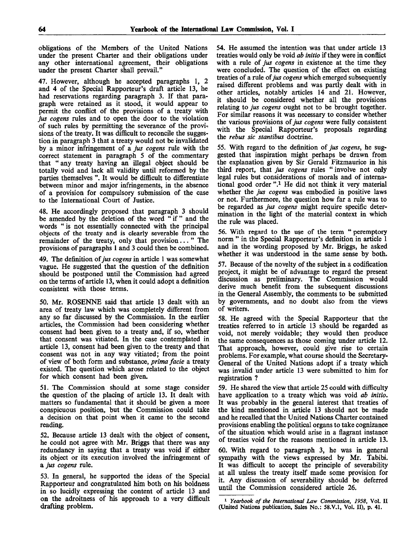obligations of the Members of the United Nations under the present Charter and their obligations under any other international agreement, their obligations under the present Charter shall prevail."

47. However, although he accepted paragraphs 1, 2 and 4 of the Special Rapporteur's draft article 13, he had reservations regarding paragraph 3. If that paragraph were retained as it stood, it would appear to permit the conflict of the provisions of a treaty with *jus cogens* rules and to open the door to the violation of such rules by permitting the severance of the provisions of the treaty. It was difficult to reconcile the suggestion in paragraph 3 that a treaty would not be invalidated by a minor infringement of a *jus cogens* rule with the correct statement in paragraph 5 of the commentary that " any treaty having an illegal object should be totally void and lack all validity until reformed by the parties themselves ". It would be difficult to differentiate between minor and major infringements, in the absence of a provision for compulsory submission of the case to the International Court of Justice.

48. He accordingly proposed that paragraph 3 should be amended by the deletion of the word " if " and the words "is not essentially connected with the principal objects of the treaty and is clearly severable from the remainder of the treaty, only that provision..." The provisions of paragraphs 1 and 3 could then be combined.

49. The definition of *jus cogens* in article 1 was somewhat vague. He suggested that the question of the definition should be postponed until the Commission had agreed on the terms of article 13, when it could adopt a definition consistent with those terms.

50. Mr. ROSENNE said that article 13 dealt with an area of treaty law which was completely different from any so far discussed by the Commission. In the earlier articles, the Commission had been considering whether consent had been given to a treaty and, if so, whether that consent was vitiated. In the case contemplated in article 13, consent had been given to the treaty and that consent was not in any way vitiated; from the point of view of both form and substance, *prima facie* a treaty existed. The question which arose related to the object for which consent had been given.

51. The Commission should at some stage consider the question of the placing of article 13. It dealt with matters so fundamental that it should be given a more conspicuous position, but the Commission could take a decision on that point when it came to the second reading.

52. Because article 13 dealt with the object of consent, he could not agree with Mr. Briggs that there was any redundancy in saying that a treaty was void if either its object or its execution involved the infringement of a *jus cogens* rule.

53. In general, he supported the ideas of the Special Rapporteur and congratulated him both on his boldness in so lucidly expressing the content of article 13 and on the adroitness of his approach to a very difficult drafting problem.

54. He assumed the intention was that under article 13 treaties would only be void *ab initio* if they were in conflict with a rule of *jus cogens* in existence at the time they were concluded. The question of the effect on existing treaties of a rule of *jus cogens* which emerged subsequently raised different problems and was partly dealt with in other articles, notably articles 14 and 21. However, it should be considered whether all the provisions relating to *jus cogens* ought not to be brought together. For similar reasons it was necessary to consider whether the various provisions of *jus cogens* were fully consistent with the Special Rapporteur's proposals regarding the *rebus sic stantibus* doctrine.

55. With regard to the definition of *jus cogens,* he suggested that inspiration might perhaps be drawn from the explanation given by Sir Gerald Fitzmaurice in his third report, that *jus cogens* rules "involve not only legal rules but considerations of morals and of international good order ".<sup>1</sup> He did not think it very material whether the *jus cogens* was embodied in positive laws or not. Furthermore, the question how far a rule was to be regarded as *jus cogens* might require specific determination in the light of the material context in which the rule was placed.

56. With regard to the use of the term " peremptory norm " in the Special Rapporteur's definition in article 1 and in the wording proposed by Mr. Briggs, he asked whether it was understood in the same sense by both.

57. Because of the novelty of the subject in a codification project, it might be of advantage to regard the present discussion as preliminary. The Commission would derive much benefit from the subsequent discussions in the General Assembly, the comments to be submitted by governments, and no doubt also from the views of writers.

58. He agreed with the Special Rapporteur that the treaties referred to in article 13 should be regarded as void, not merely voidable; they would then produce the same consequences as those coming under article 12. That approach, however, could give rise to certain problems. For example, what course should the Secretary-General of the United Nations adopt if a treaty which was invalid under article 13 were submitted to him for registration ?

59. He shared the view that article 25 could with difficulty have application to a treaty which was void *ab initio.* It was probably in the general interest that treaties of the kind mentioned in article 13 should not be made and he recalled that the United Nations Charter contained provisions enabling the political organs to take cognizance of the situation which would arise in a flagrant instance of treaties void for the reasons mentioned in article 13.

60. With regard to paragraph 3, he was in general sympathy with the views expressed by Mr. Tabibi. It was difficult to accept the principle of severability at all unless the treaty itself made some provision for it. Any discussion of severability should be deferred until the Commission considered article 26.

<sup>1</sup>  *Yearbook of the International Law Commission, 1958,* Vol. II (United Nations publication, Sales No.: 58.V.1, Vol. II), p. 41.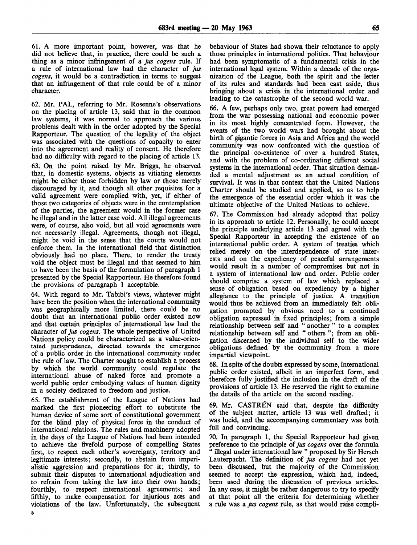61. A more important point, however, was that he did not believe that, in practice, there could be such a thing as a minor infringement of a *jus cogens* rule. If a rule of international law had the character of *jus cogens,* it would be a contradiction in terms to suggest that an infringement of that rule could be of a minor character.

62. Mr. PAL, referring to Mr. Rosenne's observations on the placing of article 13, said that in the common law systems, it was normal to approach the various problems dealt with in the order adopted by the Special Rapporteur. The question of the legality of the object was associated with the questions of capacity to enter into the agreement and reality of consent. He therefore had no difficulty with regard to the placing of article 13. 63. On the point raised by Mr. Briggs, he observed that, in domestic systems, objects as vitiating elements might be either those forbidden by law or those merely discouraged by it, and though all other requisites for a valid agreement were complied with, yet, if either of those two categories of objects were in the contemplation of the parties, the agreement would in the former case be illegal and in the latter case void. All illegal agreements were, of course, also void, but all void agreements were not necessarily illegal. Agreements, though not illegal, might be void in the sense that the courts would not enforce them. In the international field that distinction obviously had no place. There, to render the treaty void the object must be illegal and that seemed to him to have been the basis of the formulation of paragraph 1 presented by the Special Rapporteur. He therefore found the provisions of paragraph 1 acceptable.

64. With regard to Mr. Tabibi's views, whatever might have been the position when the international community was geographically more limited, there could be no doubt that an international public order existed now and that certain principles of international law had the character of *jus cogens.* The whole perspective of United Nations policy could be characterized as a value-orientated jurisprudence, directed towards the emergence of a public order in the international community under the rule of law. The Charter sought to establish a process by which the world community could regulate the international abuse of naked force and promote a world public order embodying values of human dignity in a society dedicated to freedom and justice.

65. The establishment of the League of Nations had marked the first pioneering effort to substitute the human device of some sort of constitutional government for the blind play of physical force in the conduct of international relations. The rules and machinery adopted in the days of the League of Nations had been intended to achieve the fivefold purpose of compelling States first, to respect each other's sovereignty, territory and legitimate interests; secondly, to abstain from imperialistic aggression and preparations for it; thirdly, to submit their disputes to international adjudication and to refrain from taking the law into their own hands; fourthly, to respect international agreements; and fifthly, to make compensation for injurious acts and violations of the law. Unfortunately, the subsequent behaviour of States had shown their reluctance to apply those principles in international politics. That behaviour had been symptomatic of a fundamental crisis in the international legal system. Within a decade of the organization of the League, both the spirit and the letter of its rules and standards had been cast aside, thus bringing about a crisis in the international order and leading to the catastrophe of the second world war.

66. A few, perhaps only two, great powers had emerged from the war possessing national and economic power in its most highly concentrated form. However, the events of the two world wars had brought about the birth of gigantic forces in Asia and Africa and the world community was now confronted with the question of the principal co-existence of over a hundred States, and with the problem of co-ordinating different social systems in the international order. That situation demanded a mental adjustment as an actual condition of survival. It was in that context that the United Nations Charter should be studied and applied, so as to help the emergence of the essential order which it was the ultimate objective of the United Nations to achieve.

67. The Commission had already adopted that policy in its approach to article 12. Personally, he could accept the principle underlying article 13 and agreed with the Special Rapporteur in accepting the existence of an international public order. A system of treaties which relied merely on the interdependence of state interests and on the expediency of peaceful arrangements would result in a number of compromises but not in a system of international law and order. Public order should comprise a system of law which replaced a sense of obligation based on expediency by a higher allegiance to the principle of justice. A transition would thus be achieved from an immediately felt obligation prompted by obvious need to a continued obligation expressed in fixed principles; from a simple relationship between self and " another " to a complex relationship between self and "others"; from an obligation discerned by the individual self to the wider obligations defined by the community from a more impartial viewpoint.

68. In spite of the doubts expressed by some, international public order existed, albeit in an imperfect form, and therefore fully justified the inclusion in the draft of the provisions of article 13. He reserved the right to examine the details of the article on the second reading.

69. Mr. CASTREN said that, despite the difficulty of the subject matter, article 13 was well drafted; it was lucid, and the accompanying commentary was both full and convincing.

70. In paragraph 1, the Special Rapporteur had given preference to the principle of *jus cogens* over the formula " illegal under international law " proposed by Sir Hersch Lauterpacht. The definition of *jus cogens* had not yet been discussed, but the majority of the Commission seemed to accept the expression, which had, indeed, been used during the discussion of previous articles. In any case, it might be rather dangerous to try to specify at that point all the criteria for determining whether a rule was a *jus cogens* rule, as that would raise compli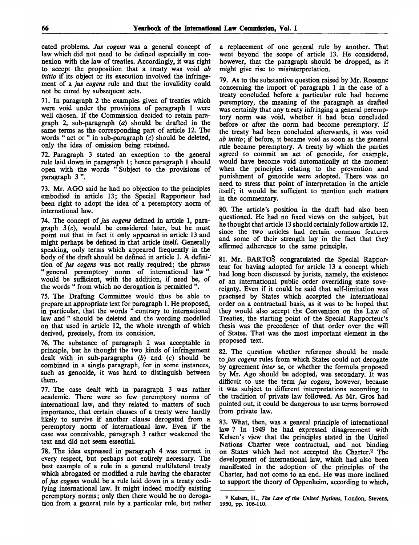cated problems. *Jus cogens* was a general concept of law which did not need to be defined especially in connexion with the law of treaties. Accordingly, it was right to accept the proposition that a treaty was void *ab initio* if its object or its execution involved the infringement of a *jus cogens* rule and that the invalidity could not be cured by subsequent acts.

71. In paragraph 2 the examples given of treaties which were void under the provisions of paragraph 1 were well chosen. If the Commission decided to retain paragraph 2, sub-paragraph *(a)* should be drafted in the same terms as the corresponding part of article 12. The words " act or " in sub-paragraph  $(c)$  should be deleted, only the idea of omission being retained.

72. Paragraph 3 stated an exception to the general rule laid down in paragraph 1; hence paragraph 1 should open with the words " Subject to the provisions of paragraph 3 ".

73. Mr. AGO said he had no objection to the principles embodied in article 13; the Special Rapporteur had been right to adopt the idea of a peremptory norm of international law.

74. The concept of *jus cogens* defined in article 1, paragraph  $3(c)$ , would be considered later, but he must point out that in fact it only appeared in article 13 and might perhaps be defined in that article itself. Generally speaking, only terms which appeared frequently in the body of the draft should be defined in article 1. A definition of *jus cogens* was not really required; the phrase " general peremptory norm of international law" would be sufficient, with the addition, if need be, of the words " from which no derogation is permitted ".

75. The Drafting Committee would thus be able to prepare an appropriate text for paragraph 1. He proposed, in particular, that the words " contrary to international law and " should be deleted and the wording modelled on that used in article 12, the whole strength of which derived, precisely, from its concision.

76. The substance of paragraph 2 was acceptable in principle, but he thought the two kinds of infringement dealt with in sub-paragraphs *(b)* and (c) should be combined in a single paragraph, for in some instances, such as genocide, it was hard to distinguish between them.

77. The case dealt with in paragraph 3 was rather academic. There were so few peremptory norms of international law, and they related to matters of such importance, that certain clauses of a treaty were hardly likely to survive if another clause derogated from a peremptory norm of international law. Even if the case was conceivable, paragraph 3 rather weakened the text and did not seem essential.

78. The idea expressed in paragraph 4 was correct in every respect, but perhaps not entirely necessary. The best example of a rule in a general multilateral treaty which abrogated or modified a rule having the character of *jus cogens* would be a rule laid down in a treaty codifying international law. It might indeed modify existing peremptory norms; only then there would be no derogation from a general rule by a particular rule, but rather a replacement of one general rule by another. That went beyond the scope of article 13. He considered, however, that the paragraph should be dropped, as it might give rise to misinterpretation.

79. As to the substantive question raised by Mr. Rosenne concerning the import of paragraph 1 in the case of a treaty concluded before a particular rule had become peremptory, the meaning of the paragraph as drafted was certainly that any treaty infringing a general peremptory norm was void, whether it had been concluded before or after the norm had become peremptory. If the treaty had been concluded afterwards, it was void *ab initio*; if before, it became void as soon as the general rule became peremptory. A treaty by which the parties agreed to commit an act of genocide, for example, would have become void automatically at the moment when the principles relating to the prevention and punishment of genocide were adopted. There was no need to stress that point of interpretation in the article itself; it would be sufficient to mention such matters in the commentary.

80. The article's position in the draft had also been questioned. He had no fixed views on the subject, but he thought that article 13 should certainly follow article 12, since the two articles had certain common features and some of their strength lay in the fact that they affirmed adherence to the same principle.

81. Mr. BARTOS congratulated the Special Rapporteur for having adopted for article 13 a concept which had long been discussed by jurists, namely, the existence of an international public order overriding state sovereignty. Even if it could be said that self-limitation was practised by States which accepted the international order on a contractual basis, as it was to be hoped that they would also accept the Convention on the Law of Treaties, the starting point of the Special Rapporteur's thesis was the precedence of that order over the will of States. That was the most important element in the proposed text.

82. The question whether reference should be made to *jus cogens* rules from which States could not derogate by agreement *inter se,* or whether the formula proposed by Mr. Ago should be adopted, was secondary. It was difficult to use the term *jus cogens,* however, because it was subject to different interpretations according to the tradition of private law followed. As Mr. Gros had pointed out, it could be dangerous to use terms borrowed from private law.

83. What, then, was a general principle of international law ? In 1949 he had expressed disagreement with Kelsen's view that the principles stated in the United Nations Charter were contractual, and not binding on States which had not accepted the Charter.<sup>2</sup> The development of international law, which had also been manifested in the adoption of the principles of the Charter, had not come to an end. He was more inclined to support the theory of Oppenheim, according to which,

<sup>2</sup> Kelsen, H., *The Law of the United Nations,* London, Stevens, 1950, pp. 106-110.